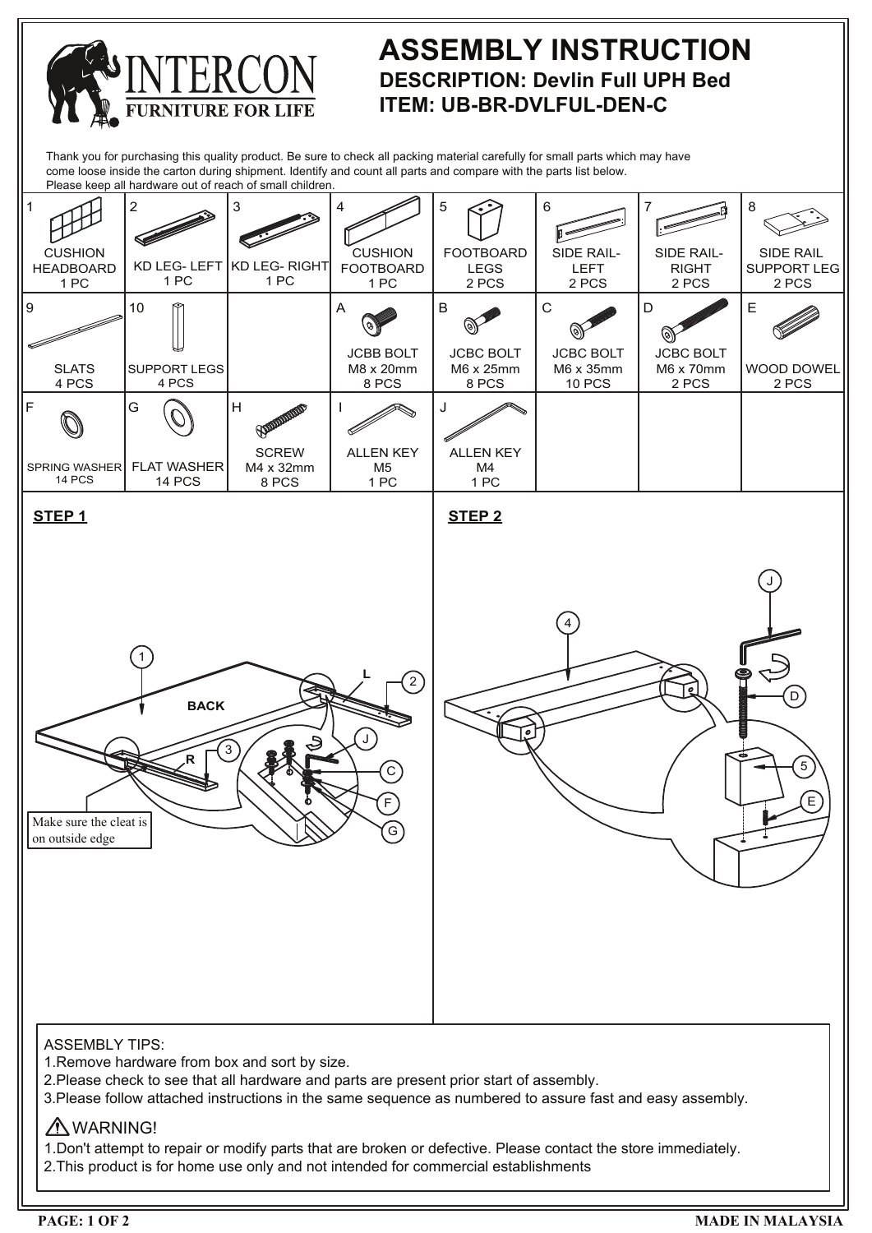